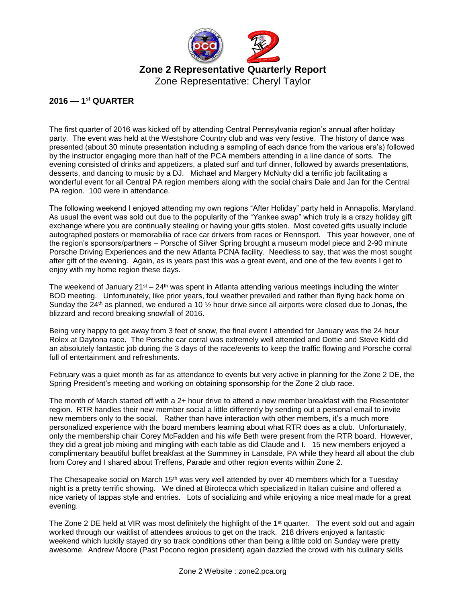

Zone Representative: Cheryl Taylor

## **2016 — 1 st QUARTER**

The first quarter of 2016 was kicked off by attending Central Pennsylvania region's annual after holiday party. The event was held at the Westshore Country club and was very festive. The history of dance was presented (about 30 minute presentation including a sampling of each dance from the various era's) followed by the instructor engaging more than half of the PCA members attending in a line dance of sorts. The evening consisted of drinks and appetizers, a plated surf and turf dinner, followed by awards presentations, desserts, and dancing to music by a DJ. Michael and Margery McNulty did a terrific job facilitating a wonderful event for all Central PA region members along with the social chairs Dale and Jan for the Central PA region. 100 were in attendance.

The following weekend I enjoyed attending my own regions "After Holiday" party held in Annapolis, Maryland. As usual the event was sold out due to the popularity of the "Yankee swap" which truly is a crazy holiday gift exchange where you are continually stealing or having your gifts stolen. Most coveted gifts usually include autographed posters or memorabilia of race car drivers from races or Rennsport. This year however, one of the region's sponsors/partners – Porsche of Silver Spring brought a museum model piece and 2-90 minute Porsche Driving Experiences and the new Atlanta PCNA facility. Needless to say, that was the most sought after gift of the evening. Again, as is years past this was a great event, and one of the few events I get to enjoy with my home region these days.

The weekend of January  $21^{st} - 24^{th}$  was spent in Atlanta attending various meetings including the winter BOD meeting. Unfortunately, like prior years, foul weather prevailed and rather than flying back home on Sunday the 24<sup>th</sup> as planned, we endured a 10  $\frac{1}{2}$  hour drive since all airports were closed due to Jonas, the blizzard and record breaking snowfall of 2016.

Being very happy to get away from 3 feet of snow, the final event I attended for January was the 24 hour Rolex at Daytona race. The Porsche car corral was extremely well attended and Dottie and Steve Kidd did an absolutely fantastic job during the 3 days of the race/events to keep the traffic flowing and Porsche corral full of entertainment and refreshments.

February was a quiet month as far as attendance to events but very active in planning for the Zone 2 DE, the Spring President's meeting and working on obtaining sponsorship for the Zone 2 club race.

The month of March started off with a 2+ hour drive to attend a new member breakfast with the Riesentoter region. RTR handles their new member social a little differently by sending out a personal email to invite new members only to the social. Rather than have interaction with other members, it's a much more personalized experience with the board members learning about what RTR does as a club. Unfortunately, only the membership chair Corey McFadden and his wife Beth were present from the RTR board. However, they did a great job mixing and mingling with each table as did Claude and I. 15 new members enjoyed a complimentary beautiful buffet breakfast at the Summney in Lansdale, PA while they heard all about the club from Corey and I shared about Treffens, Parade and other region events within Zone 2.

The Chesapeake social on March 15<sup>th</sup> was very well attended by over 40 members which for a Tuesday night is a pretty terrific showing. We dined at Birotecca which specialized in Italian cuisine and offered a nice variety of tappas style and entries. Lots of socializing and while enjoying a nice meal made for a great evening.

The Zone 2 DE held at VIR was most definitely the highlight of the 1<sup>st</sup> quarter. The event sold out and again worked through our waitlist of attendees anxious to get on the track. 218 drivers enjoyed a fantastic weekend which luckily stayed dry so track conditions other than being a little cold on Sunday were pretty awesome. Andrew Moore (Past Pocono region president) again dazzled the crowd with his culinary skills